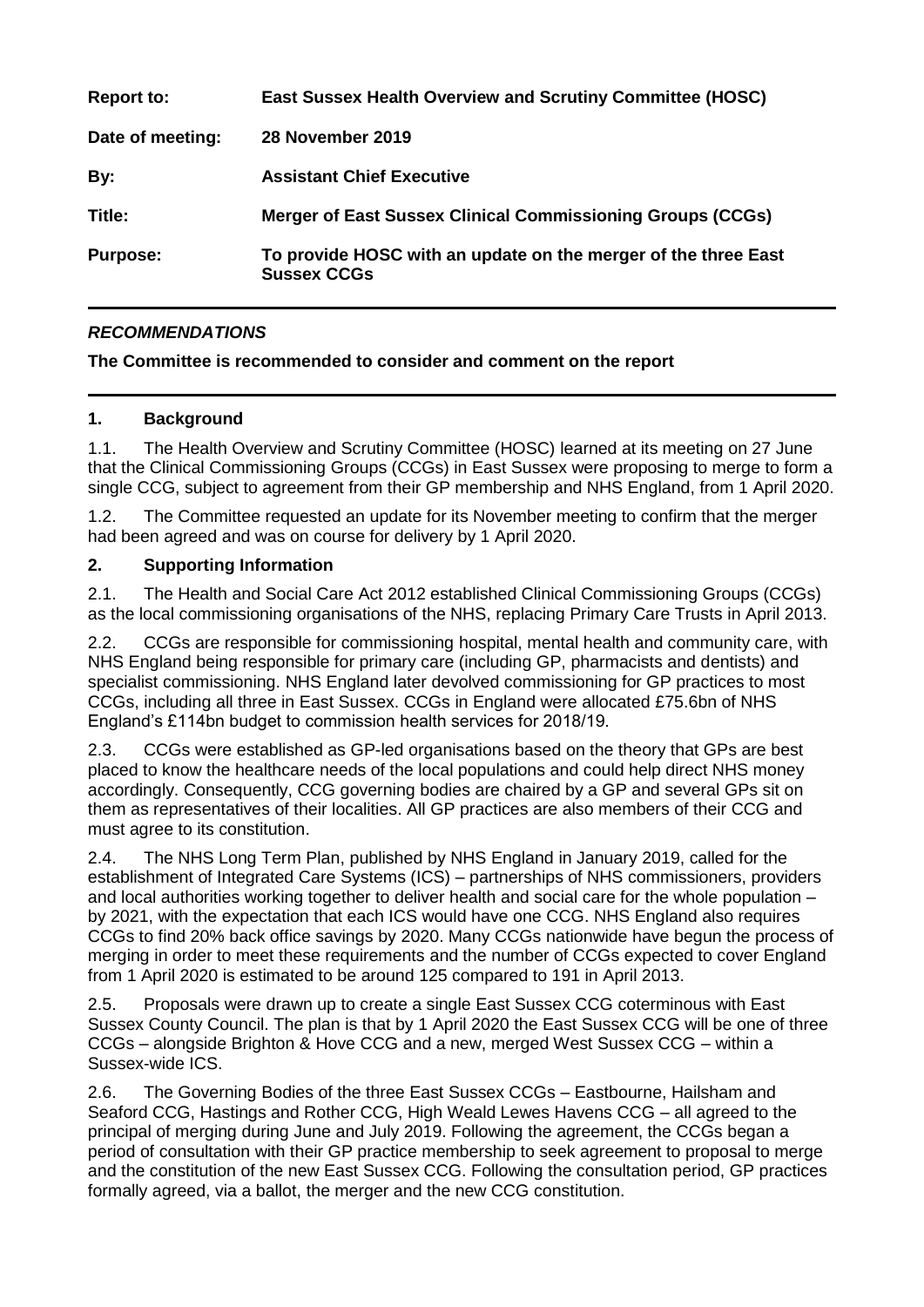| <b>Report to:</b> | <b>East Sussex Health Overview and Scrutiny Committee (HOSC)</b>                     |
|-------------------|--------------------------------------------------------------------------------------|
| Date of meeting:  | 28 November 2019                                                                     |
| By:               | <b>Assistant Chief Executive</b>                                                     |
| Title:            | <b>Merger of East Sussex Clinical Commissioning Groups (CCGs)</b>                    |
| <b>Purpose:</b>   | To provide HOSC with an update on the merger of the three East<br><b>Sussex CCGs</b> |

# *RECOMMENDATIONS*

### **The Committee is recommended to consider and comment on the report**

### **1. Background**

1.1. The Health Overview and Scrutiny Committee (HOSC) learned at its meeting on 27 June that the Clinical Commissioning Groups (CCGs) in East Sussex were proposing to merge to form a single CCG, subject to agreement from their GP membership and NHS England, from 1 April 2020.

1.2. The Committee requested an update for its November meeting to confirm that the merger had been agreed and was on course for delivery by 1 April 2020.

### **2. Supporting Information**

2.1. The Health and Social Care Act 2012 established Clinical Commissioning Groups (CCGs) as the local commissioning organisations of the NHS, replacing Primary Care Trusts in April 2013.

2.2. CCGs are responsible for commissioning hospital, mental health and community care, with NHS England being responsible for primary care (including GP, pharmacists and dentists) and specialist commissioning. NHS England later devolved commissioning for GP practices to most CCGs, including all three in East Sussex. CCGs in England were allocated £75.6bn of NHS England's £114bn budget to commission health services for 2018/19.

2.3. CCGs were established as GP-led organisations based on the theory that GPs are best placed to know the healthcare needs of the local populations and could help direct NHS money accordingly. Consequently, CCG governing bodies are chaired by a GP and several GPs sit on them as representatives of their localities. All GP practices are also members of their CCG and must agree to its constitution.

2.4. The NHS Long Term Plan, published by NHS England in January 2019, called for the establishment of Integrated Care Systems (ICS) – partnerships of NHS commissioners, providers and local authorities working together to deliver health and social care for the whole population – by 2021, with the expectation that each ICS would have one CCG. NHS England also requires CCGs to find 20% back office savings by 2020. Many CCGs nationwide have begun the process of merging in order to meet these requirements and the number of CCGs expected to cover England from 1 April 2020 is estimated to be around 125 compared to 191 in April 2013.

2.5. Proposals were drawn up to create a single East Sussex CCG coterminous with East Sussex County Council. The plan is that by 1 April 2020 the East Sussex CCG will be one of three CCGs – alongside Brighton & Hove CCG and a new, merged West Sussex CCG – within a Sussex-wide ICS.

2.6. The Governing Bodies of the three East Sussex CCGs – Eastbourne, Hailsham and Seaford CCG, Hastings and Rother CCG, High Weald Lewes Havens CCG – all agreed to the principal of merging during June and July 2019. Following the agreement, the CCGs began a period of consultation with their GP practice membership to seek agreement to proposal to merge and the constitution of the new East Sussex CCG. Following the consultation period, GP practices formally agreed, via a ballot, the merger and the new CCG constitution.